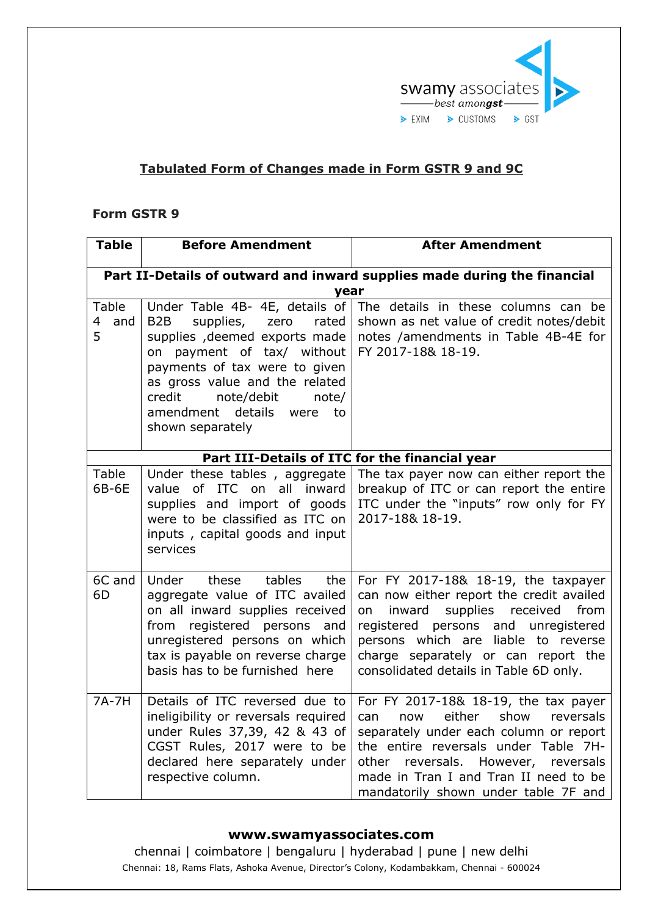

### **Tabulated Form of Changes made in Form GSTR 9 and 9C**

#### **Form GSTR 9**

| <b>Table</b>                                                                     | <b>Before Amendment</b>                                                                                                                                                                                                                                                  | <b>After Amendment</b>                                                                                                                                                                                                                                                                               |  |  |
|----------------------------------------------------------------------------------|--------------------------------------------------------------------------------------------------------------------------------------------------------------------------------------------------------------------------------------------------------------------------|------------------------------------------------------------------------------------------------------------------------------------------------------------------------------------------------------------------------------------------------------------------------------------------------------|--|--|
| Part II-Details of outward and inward supplies made during the financial<br>year |                                                                                                                                                                                                                                                                          |                                                                                                                                                                                                                                                                                                      |  |  |
| Table<br>4<br>and<br>5                                                           | B <sub>2</sub> B<br>supplies,<br>zero<br>rated<br>supplies, deemed exports made<br>on payment of tax/ without<br>payments of tax were to given<br>as gross value and the related<br>note/debit<br>credit<br>note/<br>amendment details<br>were<br>to<br>shown separately | Under Table 4B- 4E, details of The details in these columns can be<br>shown as net value of credit notes/debit<br>notes /amendments in Table 4B-4E for<br>FY 2017-18& 18-19.                                                                                                                         |  |  |
| Part III-Details of ITC for the financial year                                   |                                                                                                                                                                                                                                                                          |                                                                                                                                                                                                                                                                                                      |  |  |
| Table<br>6B-6E                                                                   | Under these tables, aggregate<br>value of ITC on all inward<br>supplies and import of goods<br>were to be classified as ITC on<br>inputs, capital goods and input<br>services                                                                                            | The tax payer now can either report the<br>breakup of ITC or can report the entire<br>ITC under the "inputs" row only for FY<br>2017-18& 18-19.                                                                                                                                                      |  |  |
| 6C and<br>6D                                                                     | Under<br>tables<br>these<br>the<br>aggregate value of ITC availed<br>on all inward supplies received<br>from registered persons<br>and<br>unregistered persons on which<br>tax is payable on reverse charge<br>basis has to be furnished here                            | For FY 2017-18& 18-19, the taxpayer<br>can now either report the credit availed<br>supplies<br>inward<br>received<br>from<br>on<br>registered persons<br>and<br>unregistered<br>persons which are liable to reverse<br>charge separately or can report the<br>consolidated details in Table 6D only. |  |  |
| 7A-7H                                                                            | Details of ITC reversed due to<br>ineligibility or reversals required<br>under Rules 37,39, 42 & 43 of<br>CGST Rules, 2017 were to be<br>declared here separately under<br>respective column.                                                                            | For FY 2017-18& 18-19, the tax payer<br>either<br>show<br>reversals<br>can<br>now<br>separately under each column or report<br>the entire reversals under Table 7H-<br>other<br>reversals.<br>However,<br>reversals<br>made in Tran I and Tran II need to be<br>mandatorily shown under table 7F and |  |  |

# **www.swamyassociates.com**

chennai | coimbatore | bengaluru | hyderabad | pune | new delhi Chennai: 18, Rams Flats, Ashoka Avenue, Director's Colony, Kodambakkam, Chennai - 600024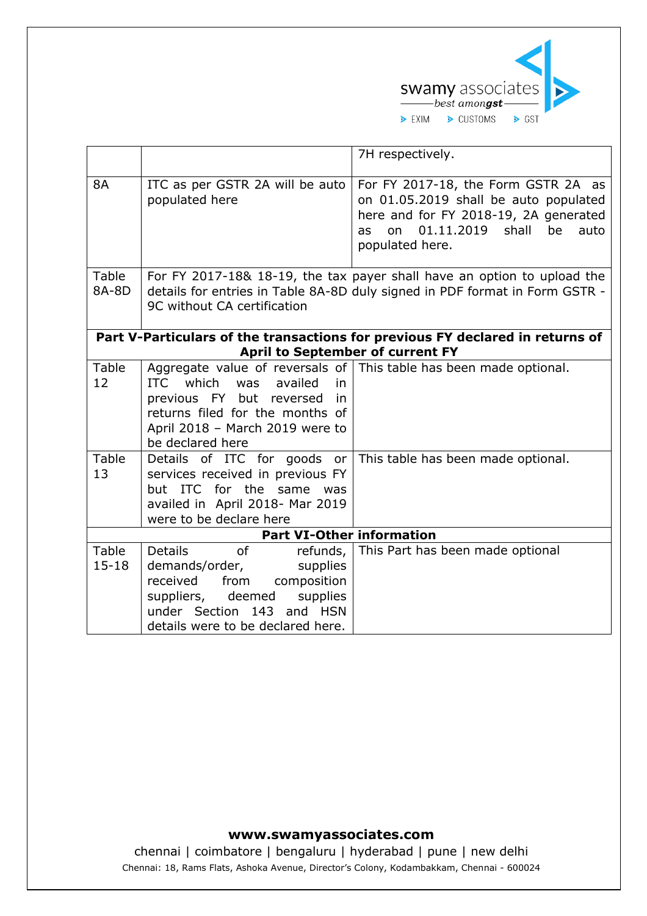

|                                                                                                                   |                                                                                                                                                                                                            | 7H respectively.                                                                                                                                                                          |  |  |
|-------------------------------------------------------------------------------------------------------------------|------------------------------------------------------------------------------------------------------------------------------------------------------------------------------------------------------------|-------------------------------------------------------------------------------------------------------------------------------------------------------------------------------------------|--|--|
| <b>8A</b>                                                                                                         | ITC as per GSTR 2A will be auto<br>populated here                                                                                                                                                          | For FY 2017-18, the Form GSTR 2A as<br>on 01.05.2019 shall be auto populated<br>here and for FY 2018-19, 2A generated<br>01.11.2019<br>shall<br>be<br>on<br>auto<br>as<br>populated here. |  |  |
| Table<br>8A-8D                                                                                                    | 9C without CA certification                                                                                                                                                                                | For FY 2017-18& 18-19, the tax payer shall have an option to upload the<br>details for entries in Table 8A-8D duly signed in PDF format in Form GSTR -                                    |  |  |
| Part V-Particulars of the transactions for previous FY declared in returns of<br>April to September of current FY |                                                                                                                                                                                                            |                                                                                                                                                                                           |  |  |
| Table<br>12                                                                                                       | <b>ITC</b><br>which<br>availed<br>was<br>in<br>previous FY but reversed<br>in<br>returns filed for the months of<br>April 2018 - March 2019 were to<br>be declared here                                    | Aggregate value of reversals of This table has been made optional.                                                                                                                        |  |  |
| Table<br>13                                                                                                       | Details of ITC for goods or<br>services received in previous FY<br>but ITC for the same was<br>availed in April 2018- Mar 2019<br>were to be declare here                                                  | This table has been made optional.                                                                                                                                                        |  |  |
| <b>Part VI-Other information</b>                                                                                  |                                                                                                                                                                                                            |                                                                                                                                                                                           |  |  |
| Table<br>$15 - 18$                                                                                                | of<br><b>Details</b><br>refunds,<br>demands/order,<br>supplies<br>received<br>from<br>composition<br>suppliers,<br>deemed<br>supplies<br>under Section 143<br>and HSN<br>details were to be declared here. | This Part has been made optional                                                                                                                                                          |  |  |

# **www.swamyassociates.com**

chennai | coimbatore | bengaluru | hyderabad | pune | new delhi Chennai: 18, Rams Flats, Ashoka Avenue, Director's Colony, Kodambakkam, Chennai - 600024